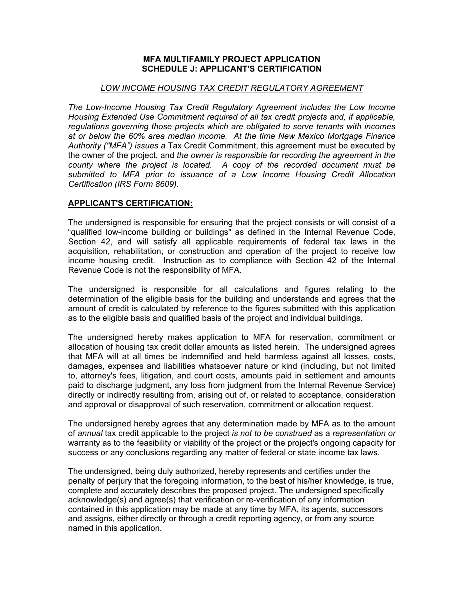## **MFA MULTIFAMILY PROJECT APPLICATION SCHEDULE J: APPLICANT'S CERTIFICATION**

## *LOW INCOME HOUSING TAX CREDIT REGULATORY AGREEMENT*

*The Low-Income Housing Tax Credit Regulatory Agreement includes the Low Income Housing Extended Use Commitment required of all tax credit projects and, if applicable, regulations governing those projects which are obligated to serve tenants with incomes at or below the 60% area median income. At the time New Mexico Mortgage Finance Authority ("MFA") issues a* Tax Credit Commitment, this agreement must be executed by the owner of the project, and *the owner is responsible for recording the agreement in the county where the project is located. A copy of the recorded document must be submitted to MFA prior to issuance of a Low Income Housing Credit Allocation Certification (IRS Form 8609).*

## **APPLICANT'S CERTIFICATION:**

The undersigned is responsible for ensuring that the project consists or will consist of a "qualified low-income building or buildings" as defined in the Internal Revenue Code, Section 42, and will satisfy all applicable requirements of federal tax laws in the acquisition, rehabilitation, or construction and operation of the project to receive low income housing credit. Instruction as to compliance with Section 42 of the Internal Revenue Code is not the responsibility of MFA.

The undersigned is responsible for all calculations and figures relating to the determination of the eligible basis for the building and understands and agrees that the amount of credit is calculated by reference to the figures submitted with this application as to the eligible basis and qualified basis of the project and individual buildings.

The undersigned hereby makes application to MFA for reservation, commitment or allocation of housing tax credit dollar amounts as listed herein. The undersigned agrees that MFA will at all times be indemnified and held harmless against all losses, costs, damages, expenses and liabilities whatsoever nature or kind (including, but not limited to, attorney's fees, litigation, and court costs, amounts paid in settlement and amounts paid to discharge judgment, any loss from judgment from the Internal Revenue Service) directly or indirectly resulting from, arising out of, or related to acceptance, consideration and approval or disapproval of such reservation, commitment or allocation request.

The undersigned hereby agrees that any determination made by MFA as to the amount of *annual* tax credit applicable to the project *is not to be construed* as a *representation or*  warranty as to the feasibility or viability of the project or the project's ongoing capacity for success or any conclusions regarding any matter of federal or state income tax laws.

The undersigned, being duly authorized, hereby represents and certifies under the penalty of perjury that the foregoing information, to the best of his/her knowledge, is true, complete and accurately describes the proposed project. The undersigned specifically acknowledge(s) and agree(s) that verification or re-verification of any information contained in this application may be made at any time by MFA, its agents, successors and assigns, either directly or through a credit reporting agency, or from any source named in this application.